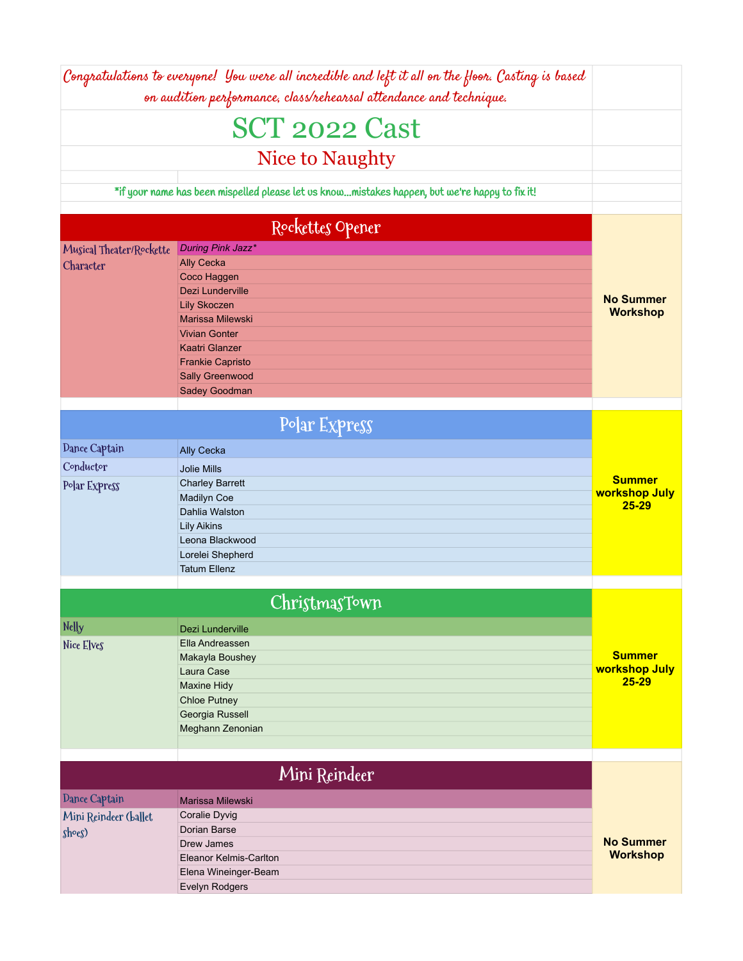|                          | Congratulations to everyone! You were all incredible and left it all on the floor. Casting is based<br>on audition performance, class/rehearsal attendance and technique. |                            |
|--------------------------|---------------------------------------------------------------------------------------------------------------------------------------------------------------------------|----------------------------|
|                          | <b>SCT 2022 Cast</b>                                                                                                                                                      |                            |
|                          | Nice to Naughty                                                                                                                                                           |                            |
|                          | *if your name has been mispelled please let us knowmistakes happen, but we're happy to fix it!                                                                            |                            |
|                          |                                                                                                                                                                           |                            |
|                          | Rockettes Opener                                                                                                                                                          |                            |
| Musical Theater/Rockette | During Pink Jazz*                                                                                                                                                         |                            |
| Character                | <b>Ally Cecka</b>                                                                                                                                                         |                            |
|                          | Coco Haggen                                                                                                                                                               |                            |
|                          | Dezi Lunderville                                                                                                                                                          | <b>No Summer</b>           |
|                          | <b>Lily Skoczen</b>                                                                                                                                                       | <b>Workshop</b>            |
|                          | Marissa Milewski<br><b>Vivian Gonter</b>                                                                                                                                  |                            |
|                          | <b>Kaatri Glanzer</b>                                                                                                                                                     |                            |
|                          | <b>Frankie Capristo</b>                                                                                                                                                   |                            |
|                          | Sally Greenwood                                                                                                                                                           |                            |
|                          | Sadey Goodman                                                                                                                                                             |                            |
|                          |                                                                                                                                                                           |                            |
|                          | Polar Express                                                                                                                                                             |                            |
| Dance Captain            | <b>Ally Cecka</b>                                                                                                                                                         |                            |
| Conductor                | <b>Jolie Mills</b>                                                                                                                                                        |                            |
| Polar Express            | <b>Charley Barrett</b>                                                                                                                                                    | <b>Summer</b>              |
|                          | <b>Madilyn Coe</b>                                                                                                                                                        | workshop July              |
|                          | Dahlia Walston                                                                                                                                                            | $25 - 29$                  |
|                          | <b>Lily Aikins</b>                                                                                                                                                        |                            |
|                          | Leona Blackwood                                                                                                                                                           |                            |
|                          | Lorelei Shepherd                                                                                                                                                          |                            |
|                          | <b>Tatum Ellenz</b>                                                                                                                                                       |                            |
|                          |                                                                                                                                                                           |                            |
|                          | ChristmasTown                                                                                                                                                             |                            |
| Nelly                    | Dezi Lunderville                                                                                                                                                          |                            |
| Nice Elves               | Ella Andreassen                                                                                                                                                           |                            |
|                          | Makayla Boushey                                                                                                                                                           | <b>Summer</b>              |
|                          | Laura Case                                                                                                                                                                | workshop July<br>$25 - 29$ |
|                          | <b>Maxine Hidy</b>                                                                                                                                                        |                            |
|                          | <b>Chloe Putney</b>                                                                                                                                                       |                            |
|                          | Georgia Russell                                                                                                                                                           |                            |
|                          | Meghann Zenonian                                                                                                                                                          |                            |
|                          |                                                                                                                                                                           |                            |
|                          | Mini Reindeer                                                                                                                                                             |                            |
| Dance Captain            | Marissa Milewski                                                                                                                                                          |                            |
| Mini Reindeer (ballet    | Coralie Dyvig                                                                                                                                                             |                            |
| sho(g)                   | Dorian Barse                                                                                                                                                              |                            |
|                          | Drew James                                                                                                                                                                | <b>No Summer</b>           |
|                          | Eleanor Kelmis-Carlton                                                                                                                                                    | <b>Workshop</b>            |
|                          | Elena Wineinger-Beam                                                                                                                                                      |                            |
|                          | Evelyn Rodgers                                                                                                                                                            |                            |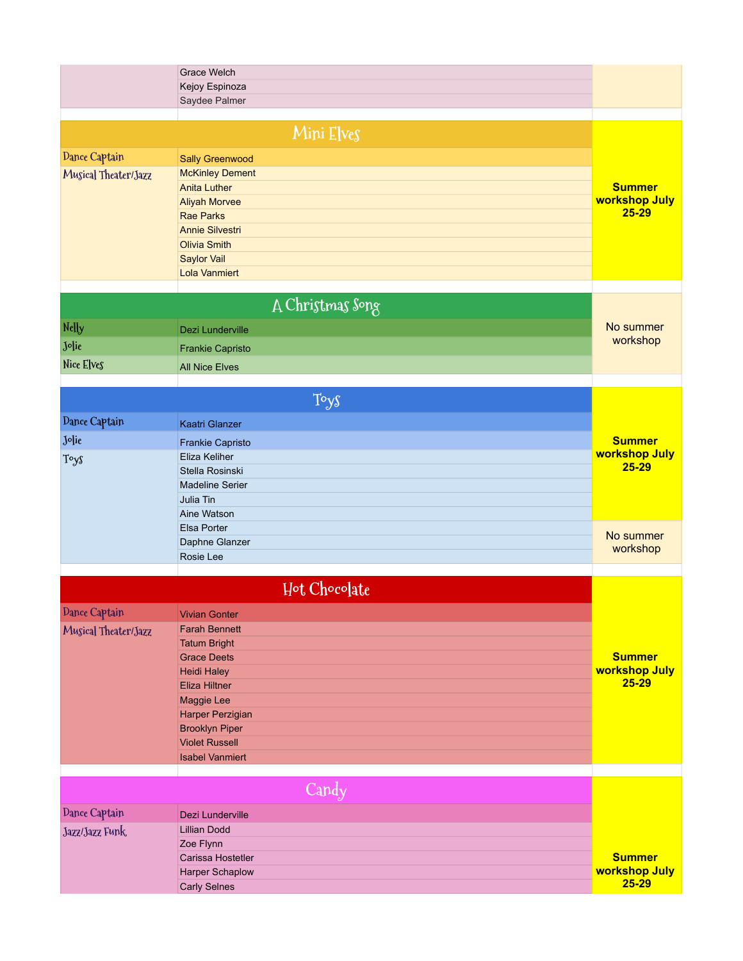|                      | Grace Welch<br>Kejoy Espinoza<br>Saydee Palmer |                                |
|----------------------|------------------------------------------------|--------------------------------|
|                      |                                                |                                |
|                      | Mini Elves                                     |                                |
| Dance Captain        | Sally Greenwood                                |                                |
| Musical Theater/Jazz | <b>McKinley Dement</b>                         |                                |
|                      | <b>Anita Luther</b>                            | <b>Summer</b>                  |
|                      | <b>Aliyah Morvee</b>                           | workshop July                  |
|                      | <b>Rae Parks</b>                               | $25 - 29$                      |
|                      | <b>Annie Silvestri</b>                         |                                |
|                      | <b>Olivia Smith</b>                            |                                |
|                      | <b>Saylor Vail</b>                             |                                |
|                      | <b>Lola Vanmiert</b>                           |                                |
|                      | A Christmas Song                               |                                |
| Nelly                | Dezi Lunderville                               | No summer                      |
| Jolie                |                                                | workshop                       |
|                      | <b>Frankie Capristo</b>                        |                                |
| Nice Elves           | <b>All Nice Elves</b>                          |                                |
|                      | Toys                                           |                                |
| Dance Captain        | Kaatri Glanzer                                 |                                |
| Jolie                | <b>Frankie Capristo</b>                        | <b>Summer</b>                  |
| Toys                 | Eliza Keliher                                  | workshop July                  |
|                      | Stella Rosinski                                | $25 - 29$                      |
|                      | <b>Madeline Serier</b>                         |                                |
|                      | Julia Tin                                      |                                |
|                      | Aine Watson                                    |                                |
|                      | Elsa Porter<br>Daphne Glanzer                  | No summer                      |
|                      | Rosie Lee                                      | workshop                       |
|                      |                                                |                                |
|                      | Hot Chocolate                                  |                                |
| Dance Captain        | <b>Vivian Gonter</b>                           |                                |
| Musical Theater/Jazz | <b>Farah Bennett</b>                           |                                |
|                      | <b>Tatum Bright</b>                            |                                |
|                      | <b>Grace Deets</b>                             | <b>Summer</b>                  |
|                      | <b>Heidi Haley</b>                             | workshop July<br>$25 - 29$     |
|                      | <b>Eliza Hiltner</b>                           |                                |
|                      | Maggie Lee<br>Harper Perzigian                 |                                |
|                      | <b>Brooklyn Piper</b>                          |                                |
|                      | <b>Violet Russell</b>                          |                                |
|                      | <b>Isabel Vanmiert</b>                         |                                |
|                      |                                                |                                |
|                      | Candy                                          |                                |
| Dance Captain        | Dezi Lunderville                               |                                |
| Jazz/Jazz Funk       | <b>Lillian Dodd</b>                            |                                |
|                      | Zoe Flynn                                      |                                |
|                      | Carissa Hostetler<br>Harper Schaplow           | <b>Summer</b><br>workshop July |
|                      | <b>Carly Selnes</b>                            | $25 - 29$                      |
|                      |                                                |                                |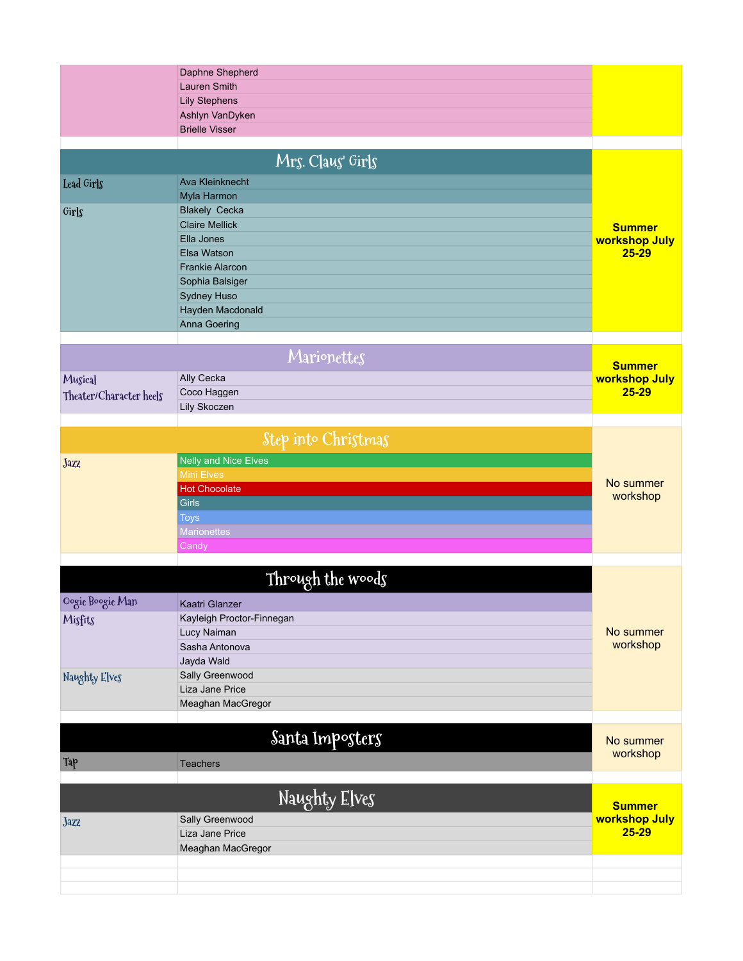|                         | Daphne Shepherd<br><b>Lauren Smith</b> |               |
|-------------------------|----------------------------------------|---------------|
|                         | <b>Lily Stephens</b>                   |               |
|                         | Ashlyn VanDyken                        |               |
|                         | <b>Brielle Visser</b>                  |               |
|                         |                                        |               |
|                         | Mrs. Claus' Girls                      |               |
| Lead Girls              | <b>Ava Kleinknecht</b>                 |               |
|                         | Myla Harmon                            |               |
| Girls                   | <b>Blakely Cecka</b>                   |               |
|                         | <b>Claire Mellick</b>                  | <b>Summer</b> |
|                         | Ella Jones                             | workshop July |
|                         | Elsa Watson                            | $25 - 29$     |
|                         | <b>Frankie Alarcon</b>                 |               |
|                         | Sophia Balsiger                        |               |
|                         | Sydney Huso<br>Hayden Macdonald        |               |
|                         | Anna Goering                           |               |
|                         |                                        |               |
|                         | Marionettes                            | <b>Summer</b> |
| Musical                 | Ally Cecka                             | workshop July |
| Theater/Character heels | Coco Haggen                            | $25 - 29$     |
|                         | Lily Skoczen                           |               |
|                         |                                        |               |
|                         | Step into Christmas                    |               |
| Jazz                    | <b>Nelly and Nice Elves</b>            |               |
|                         | <b>Mini Elves</b>                      | No summer     |
|                         | <b>Hot Chocolate</b>                   | workshop      |
|                         | Girls                                  |               |
|                         | <b>Toys</b>                            |               |
|                         | <b>Marionettes</b>                     |               |
|                         | Candy                                  |               |
|                         | Through the woods                      |               |
| Oogie Boogie Man        | Kaatri Glanzer                         |               |
| Misfits                 | Kayleigh Proctor-Finnegan              |               |
|                         | Lucy Naiman                            | No summer     |
|                         | Sasha Antonova                         | workshop      |
|                         | Jayda Wald                             |               |
| Naughty Elves           | Sally Greenwood                        |               |
|                         | Liza Jane Price                        |               |
|                         | Meaghan MacGregor                      |               |
|                         |                                        |               |
|                         | Santa Imposters                        | No summer     |
| Tap                     | <b>Teachers</b>                        | workshop      |
|                         |                                        |               |
|                         | Naughty Elves                          | <b>Summer</b> |
| Jazz                    | Sally Greenwood                        | workshop July |
|                         | Liza Jane Price                        | $25 - 29$     |
|                         | Meaghan MacGregor                      |               |
|                         |                                        |               |
|                         |                                        |               |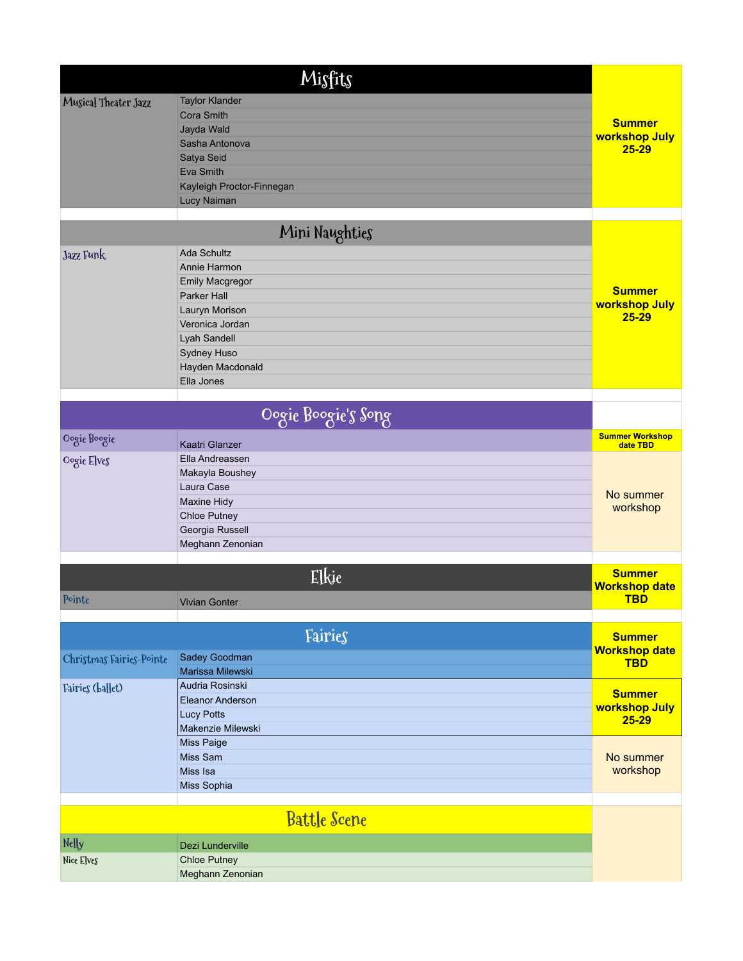|                          | Misfits                                                                                                                                                                    |                                             |
|--------------------------|----------------------------------------------------------------------------------------------------------------------------------------------------------------------------|---------------------------------------------|
| Musical Theater Jazz     | <b>Taylor Klander</b><br><b>Cora Smith</b><br>Jayda Wald<br>Sasha Antonova<br>Satya Seid<br>Eva Smith<br>Kayleigh Proctor-Finnegan<br>Lucy Naiman                          | <b>Summer</b><br>workshop July<br>$25 - 29$ |
|                          | Mini Naughties                                                                                                                                                             |                                             |
| Jazz Funk                | <b>Ada Schultz</b><br>Annie Harmon<br>Emily Macgregor<br>Parker Hall<br>Lauryn Morison<br>Veronica Jordan<br>Lyah Sandell<br>Sydney Huso<br>Hayden Macdonald<br>Ella Jones | <b>Summer</b><br>workshop July<br>$25 - 29$ |
|                          | Oogie Boogie's Song                                                                                                                                                        |                                             |
| Oogie Boogie             | Kaatri Glanzer                                                                                                                                                             | <b>Summer Workshop</b><br>date TBD          |
| Oogie Elves              | Ella Andreassen<br>Makayla Boushey<br>Laura Case<br>Maxine Hidy<br>Chloe Putney<br>Georgia Russell<br>Meghann Zenonian                                                     | No summer<br>workshop                       |
|                          | Elkie                                                                                                                                                                      | <b>Summer</b>                               |
| Pointe                   | <b>Vivian Gonter</b>                                                                                                                                                       | <b>Workshop date</b><br><b>TBD</b>          |
|                          | Fairies                                                                                                                                                                    | <b>Summer</b>                               |
| Christmas Fairies-Pointe | Sadey Goodman<br>Marissa Milewski                                                                                                                                          | <b>Workshop date</b><br><b>TBD</b>          |
| Fairies (ballet)         | Audria Rosinski<br>Eleanor Anderson<br><b>Lucy Potts</b><br>Makenzie Milewski                                                                                              | <b>Summer</b><br>workshop July<br>$25 - 29$ |
|                          | Miss Paige<br>Miss Sam<br>Miss Isa<br>Miss Sophia                                                                                                                          | No summer<br>workshop                       |
|                          | <b>Battle Scene</b>                                                                                                                                                        |                                             |
| Nelly                    | Dezi Lunderville                                                                                                                                                           |                                             |
| Nice Elves               | <b>Chloe Putney</b><br>Meghann Zenonian                                                                                                                                    |                                             |